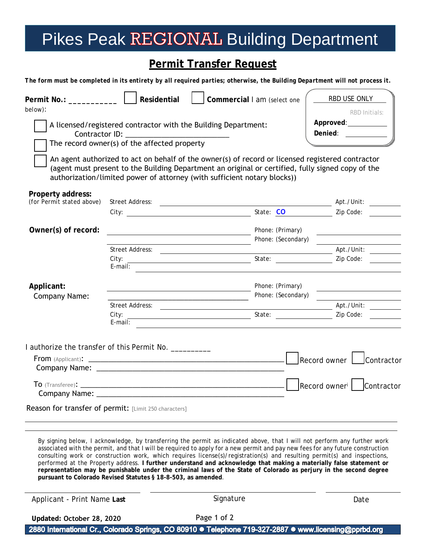## Pikes Peak REGIONAL Building Department

## **Permit Transfer Request**

*The form must be completed in its entirety by all required parties; otherwise, the Building Department will not process it.*

| Permit No.: ____________<br>below):            | Residential                                                                                                                                                                                                                                                                                                                                                                                         |                                                           | Commercial I am (select one            |  | RBD USE ONLY<br>RBD Initials:<br>Approved: __________                                                                |
|------------------------------------------------|-----------------------------------------------------------------------------------------------------------------------------------------------------------------------------------------------------------------------------------------------------------------------------------------------------------------------------------------------------------------------------------------------------|-----------------------------------------------------------|----------------------------------------|--|----------------------------------------------------------------------------------------------------------------------|
|                                                | A licensed/registered contractor with the Building Department:<br>The record owner(s) of the affected property<br>An agent authorized to act on behalf of the owner(s) of record or licensed registered contractor<br>(agent must present to the Building Department an original or certified, fully signed copy of the<br>authorization/limited power of attorney (with sufficient notary blocks)) |                                                           |                                        |  | Denied: ___________                                                                                                  |
| Property address:<br>(for Permit stated above) |                                                                                                                                                                                                                                                                                                                                                                                                     |                                                           |                                        |  | Apt./Unit:                                                                                                           |
| Owner(s) of record:                            | City: <u>Community: City:</u>                                                                                                                                                                                                                                                                                                                                                                       | <u> 1989 - Johann Barnett, fransk politiker (d. 1989)</u> | Phone: (Primary)<br>Phone: (Secondary) |  | Zip Code:                                                                                                            |
|                                                | Street Address:<br>City:<br>$E$ -mail:                                                                                                                                                                                                                                                                                                                                                              | $\overline{\phantom{a}}$                                  | State: Zip Code:                       |  | Apt./Unit:                                                                                                           |
| Applicant:<br><b>Company Name:</b>             | <u> 1989 - Johann Barn, mars an t-Amerikaansk kommunist (</u>                                                                                                                                                                                                                                                                                                                                       |                                                           | Phone: (Primary)<br>Phone: (Secondary) |  | <u> 1989 - Johann Barbara, martin amerikan basar dan basa dan basar dalam basa dalam basa dalam basa dalam basa </u> |
|                                                | Street Address:<br>City:<br>E-mail:                                                                                                                                                                                                                                                                                                                                                                 |                                                           | State:                                 |  | Zip Code:                                                                                                            |
|                                                | I authorize the transfer of this Permit No. __________                                                                                                                                                                                                                                                                                                                                              |                                                           |                                        |  |                                                                                                                      |
|                                                |                                                                                                                                                                                                                                                                                                                                                                                                     |                                                           |                                        |  | Record owner   Contractor                                                                                            |
|                                                |                                                                                                                                                                                                                                                                                                                                                                                                     |                                                           |                                        |  | Record owner <sup>i</sup>   Contractor                                                                               |
|                                                | Reason for transfer of permit: [Limit 250 characters]                                                                                                                                                                                                                                                                                                                                               |                                                           |                                        |  |                                                                                                                      |

By signing below, I acknowledge, by transferring the permit as indicated above, that I will not perform any further work associated with the permit, and that I will be required to apply for a new permit and pay new fees for any future construction consulting work or construction work, which requires license(s)/registration(s) and resulting permit(s) and inspections, performed at the Property address. **I further understand and acknowledge that making a materially false statement or representation may be punishable under the criminal laws of the State of Colorado as perjury in the second degree pursuant to Colorado Revised Statutes § 18-8-503, as amended**.

Page 1 of 2

Applicant - Print Name **Last** 

Signature Date

**Updated: October 28, 2020**

2880 International Cr., Colorado Springs, CO 80910 · Telephone 719-327-2887 · www.licensing@pprbd.org